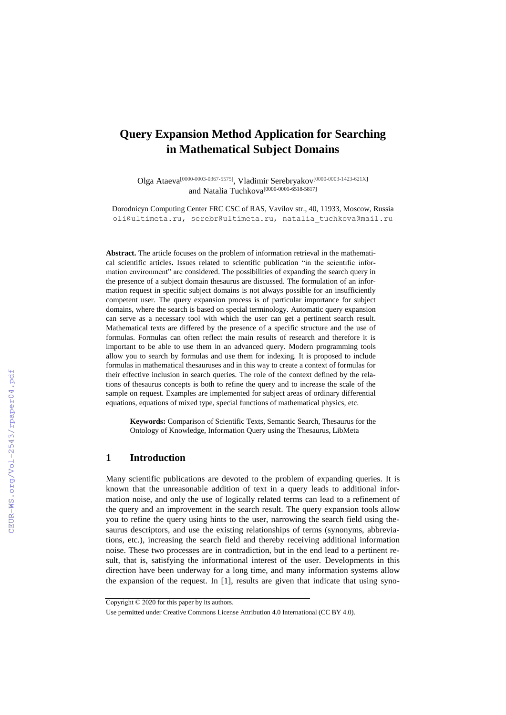# **Query Expansion Method Application for Searching in Mathematical Subject Domains**

Olga Ataeva<sup>[0000-0003-0367-5575]</sup>, Vladimir Serebryakov<sup>[0000-0003-1423-621X]</sup> and Natalia Tuchkova[0000-0001-6518-5817]

Dorodnicyn Computing Center FRC CSC of RAS, Vavilov str., 40, 11933, Moscow, Russia oli@ultimeta.ru, serebr@ultimeta.ru, natalia\_tuchkova@mail.ru

**Abstract.** The article focuses on the problem of information retrieval in the mathematical scientific articles**.** Issues related to scientific publication "in the scientific information environment" are considered. The possibilities of expanding the search query in the presence of a subject domain thesaurus are discussed. The formulation of an information request in specific subject domains is not always possible for an insufficiently competent user. The query expansion process is of particular importance for subject domains, where the search is based on special terminology. Automatic query expansion can serve as a necessary tool with which the user can get a pertinent search result. Mathematical texts are differed by the presence of a specific structure and the use of formulas. Formulas can often reflect the main results of research and therefore it is important to be able to use them in an advanced query. Modern programming tools allow you to search by formulas and use them for indexing. It is proposed to include formulas in mathematical thesauruses and in this way to create a context of formulas for their effective inclusion in search queries. The role of the context defined by the relations of thesaurus concepts is both to refine the query and to increase the scale of the sample on request. Examples are implemented for subject areas of ordinary differential equations, equations of mixed type, special functions of mathematical physics, etc.

**Keywords:** Comparison of Scientific Texts, Semantic Search, Thesaurus for the Ontology of Knowledge, Information Query using the Thesaurus, LibMeta

#### **1 Introduction**

Many scientific publications are devoted to the problem of expanding queries. It is known that the unreasonable addition of text in a query leads to additional information noise, and only the use of logically related terms can lead to a refinement of the query and an improvement in the search result. The query expansion tools allow you to refine the query using hints to the user, narrowing the search field using thesaurus descriptors, and use the existing relationships of terms (synonyms, abbreviations, etc.), increasing the search field and thereby receiving additional information noise. These two processes are in contradiction, but in the end lead to a pertinent result, that is, satisfying the informational interest of the user. Developments in this direction have been underway for a long time, and many information systems allow the expansion of the request. In [1], results are given that indicate that using syno-

Copyright © 2020 for this paper by its authors.

Use permitted under Creative Commons License Attribution 4.0 International (CC BY 4.0).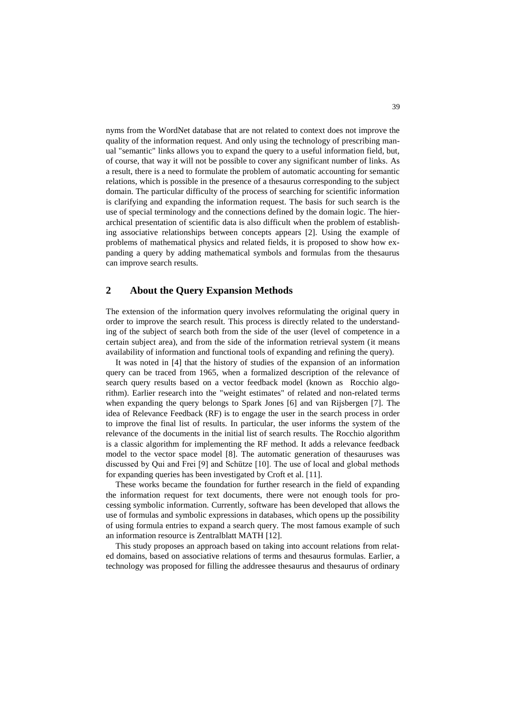nyms from the WordNet database that are not related to context does not improve the quality of the information request. And only using the technology of prescribing manual "semantic" links allows you to expand the query to a useful information field, but, of course, that way it will not be possible to cover any significant number of links. As a result, there is a need to formulate the problem of automatic accounting for semantic relations, which is possible in the presence of a thesaurus corresponding to the subject domain. The particular difficulty of the process of searching for scientific information is clarifying and expanding the information request. The basis for such search is the use of special terminology and the connections defined by the domain logic. The hierarchical presentation of scientific data is also difficult when the problem of establishing associative relationships between concepts appears [2]. Using the example of problems of mathematical physics and related fields, it is proposed to show how expanding a query by adding mathematical symbols and formulas from the thesaurus can improve search results.

# **2 About the Query Expansion Methods**

The extension of the information query involves reformulating the original query in order to improve the search result. This process is directly related to the understanding of the subject of search both from the side of the user (level of competence in a certain subject area), and from the side of the information retrieval system (it means availability of information and functional tools of expanding and refining the query).

It was noted in [4] that the history of studies of the expansion of an information query can be traced from 1965, when a formalized description of the relevance of search query results based on a vector feedback model (known as Rocchio algorithm). Earlier research into the "weight estimates" of related and non-related terms when expanding the query belongs to Spark Jones [6] and van Rijsbergen [7]. The idea of Relevance Feedback (RF) is to engage the user in the search process in order to improve the final list of results. In particular, the user informs the system of the relevance of the documents in the initial list of search results. The Rocchio algorithm is a classic algorithm for implementing the RF method. It adds a relevance feedback model to the vector space model [8]. The automatic generation of thesauruses was discussed by Qui and Frei [9] and Schütze [10]. The use of local and global methods for expanding queries has been investigated by Croft et al. [11].

These works became the foundation for further research in the field of expanding the information request for text documents, there were not enough tools for processing symbolic information. Currently, software has been developed that allows the use of formulas and symbolic expressions in databases, which opens up the possibility of using formula entries to expand a search query. The most famous example of such an information resource is Zentralblatt MATH [12].

This study proposes an approach based on taking into account relations from related domains, based on associative relations of terms and thesaurus formulas. Earlier, a technology was proposed for filling the addressee thesaurus and thesaurus of ordinary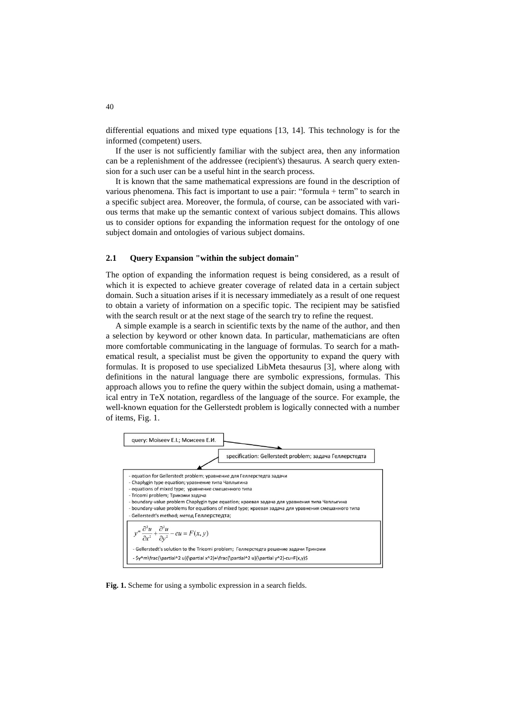differential equations and mixed type equations [13, 14]. This technology is for the informed (competent) users.

If the user is not sufficiently familiar with the subject area, then any information can be a replenishment of the addressee (recipient's) thesaurus. A search query extension for a such user can be a useful hint in the search process.

It is known that the same mathematical expressions are found in the description of various phenomena. This fact is important to use a pair: "formula + term" to search in a specific subject area. Moreover, the formula, of course, can be associated with various terms that make up the semantic context of various subject domains. This allows us to consider options for expanding the information request for the ontology of one subject domain and ontologies of various subject domains.

#### **2.1 Query Expansion "within the subject domain"**

The option of expanding the information request is being considered, as a result of which it is expected to achieve greater coverage of related data in a certain subject domain. Such a situation arises if it is necessary immediately as a result of one request to obtain a variety of information on a specific topic. The recipient may be satisfied with the search result or at the next stage of the search try to refine the request.

A simple example is a search in scientific texts by the name of the author, and then a selection by keyword or other known data. In particular, mathematicians are often more comfortable communicating in the language of formulas. To search for a mathematical result, a specialist must be given the opportunity to expand the query with formulas. It is proposed to use specialized LibMeta thesaurus [3], where along with definitions in the natural language there are symbolic expressions, formulas. This approach allows you to refine the query within the subject domain, using a mathematical entry in TeX notation, regardless of the language of the source. For example, the well-known equation for the Gellerstedt problem is logically connected with a number of items, Fig. 1.



**Fig. 1.** Scheme for using a symbolic expression in a search fields.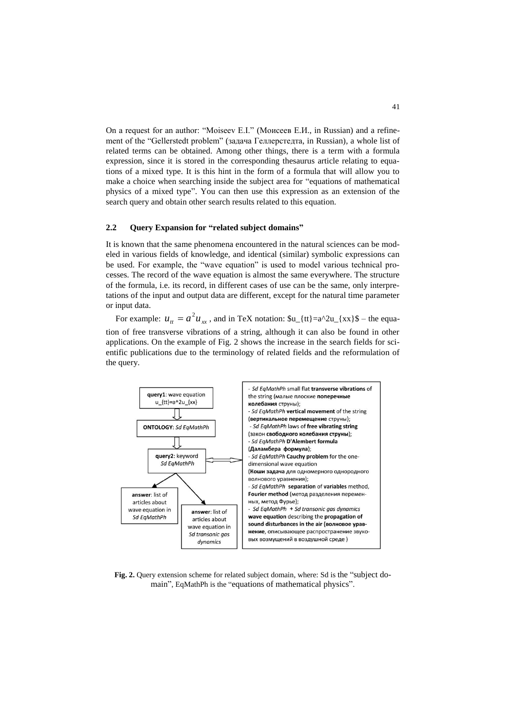On a request for an author: "Moiseev E.I." (Моисеев Е.И., in Russian) and a refinement of the "Gellerstedt problem" (задача Геллерстедта, in Russian), a whole list of related terms can be obtained. Among other things, there is a term with a formula expression, since it is stored in the corresponding thesaurus article relating to equations of a mixed type. It is this hint in the form of a formula that will allow you to make a choice when searching inside the subject area for "equations of mathematical physics of a mixed type". You can then use this expression as an extension of the search query and obtain other search results related to this equation.

#### **2.2 Query Expansion for "related subject domains"**

It is known that the same phenomena encountered in the natural sciences can be modeled in various fields of knowledge, and identical (similar) symbolic expressions can be used. For example, the "wave equation" is used to model various technical processes. The record of the wave equation is almost the same everywhere. The structure of the formula, i.e. its record, in different cases of use can be the same, only interpretations of the input and output data are different, except for the natural time parameter or input data.

For example:  $u_{tt} = a^2 u_{xx}$ , and in TeX notation:  $u_{tt} = a^2 u_{xx}$  for  $u_{xx}$  and  $u_{xx}$ tion of free transverse vibrations of a string, although it can also be found in other applications. On the example of Fig. 2 shows the increase in the search fields for scientific publications due to the terminology of related fields and the reformulation of the query.



**Fig. 2.** Query extension scheme for related subject domain, where: Sd is the "subject domain", EqMathPh is the "equations of mathematical physics".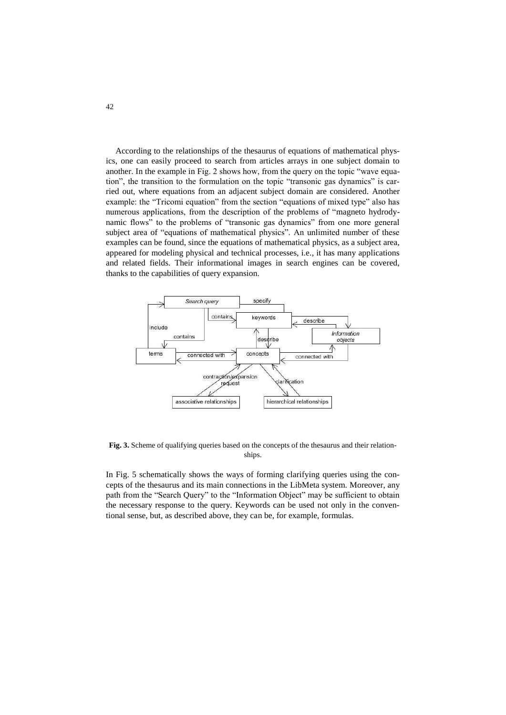According to the relationships of the thesaurus of equations of mathematical physics, one can easily proceed to search from articles arrays in one subject domain to another. In the example in Fig. 2 shows how, from the query on the topic "wave equation", the transition to the formulation on the topic "transonic gas dynamics" is carried out, where equations from an adjacent subject domain are considered. Another example: the "Tricomi equation" from the section "equations of mixed type" also has numerous applications, from the description of the problems of "magneto hydrodynamic flows" to the problems of "transonic gas dynamics" from one more general subject area of "equations of mathematical physics". An unlimited number of these examples can be found, since the equations of mathematical physics, as a subject area, appeared for modeling physical and technical processes, i.e., it has many applications and related fields. Their informational images in search engines can be covered, thanks to the capabilities of query expansion.



**Fig. 3.** Scheme of qualifying queries based on the concepts of the thesaurus and their relationships.

In Fig. 5 schematically shows the ways of forming clarifying queries using the concepts of the thesaurus and its main connections in the LibMeta system. Moreover, any path from the "Search Query" to the "Information Object" may be sufficient to obtain the necessary response to the query. Keywords can be used not only in the conventional sense, but, as described above, they can be, for example, formulas.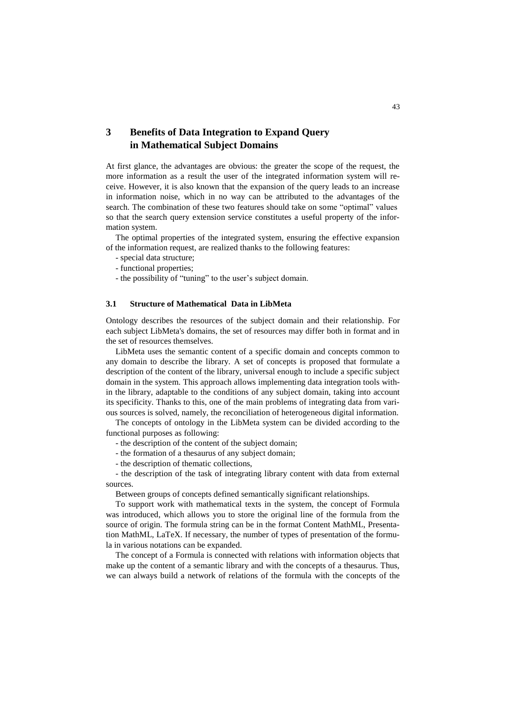# **3 Benefits of Data Integration to Expand Query in Mathematical Subject Domains**

At first glance, the advantages are obvious: the greater the scope of the request, the more information as a result the user of the integrated information system will receive. However, it is also known that the expansion of the query leads to an increase in information noise, which in no way can be attributed to the advantages of the search. The combination of these two features should take on some "optimal" values so that the search query extension service constitutes a useful property of the information system.

The optimal properties of the integrated system, ensuring the effective expansion of the information request, are realized thanks to the following features:

- special data structure;
- functional properties;
- the possibility of "tuning" to the user's subject domain.

#### **3.1 Structure of Mathematical Data in LibMeta**

Ontology describes the resources of the subject domain and their relationship. For each subject LibMeta's domains, the set of resources may differ both in format and in the set of resources themselves.

LibMeta uses the semantic content of a specific domain and concepts common to any domain to describe the library. A set of concepts is proposed that formulate a description of the content of the library, universal enough to include a specific subject domain in the system. This approach allows implementing data integration tools within the library, adaptable to the conditions of any subject domain, taking into account its specificity. Thanks to this, one of the main problems of integrating data from various sources is solved, namely, the reconciliation of heterogeneous digital information.

The concepts of ontology in the LibMeta system can be divided according to the functional purposes as following:

- the description of the content of the subject domain;
- the formation of a thesaurus of any subject domain;
- the description of thematic collections,

- the description of the task of integrating library content with data from external sources.

Between groups of concepts defined semantically significant relationships.

To support work with mathematical texts in the system, the concept of Formula was introduced, which allows you to store the original line of the formula from the source of origin. The formula string can be in the format Content MathML, Presentation MathML, LaTeX. If necessary, the number of types of presentation of the formula in various notations can be expanded.

The concept of a Formula is connected with relations with information objects that make up the content of a semantic library and with the concepts of a thesaurus. Thus, we can always build a network of relations of the formula with the concepts of the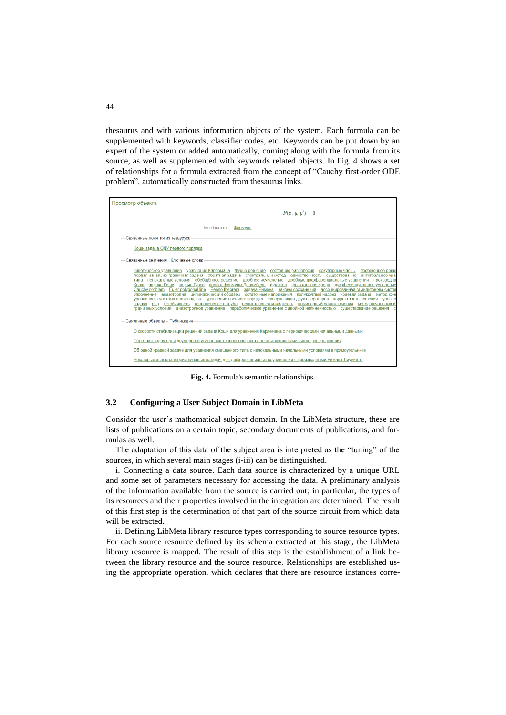thesaurus and with various information objects of the system. Each formula can be supplemented with keywords, classifier codes, etc. Keywords can be put down by an expert of the system or added automatically, coming along with the formula from its source, as well as supplemented with keywords related objects. In Fig. 4 shows a set of relationships for a formula extracted from the concept of "Cauchy first-order ODE problem", automatically constructed from thesaurus links.



**Fig. 4.** Formula's semantic relationships.

#### **3.2 Configuring a User Subject Domain in LibMeta**

Consider the user's mathematical subject domain. In the LibMeta structure, these are lists of publications on a certain topic, secondary documents of publications, and formulas as well.

The adaptation of this data of the subject area is interpreted as the "tuning" of the sources, in which several main stages (i-iii) can be distinguished.

i. Connecting a data source. Each data source is characterized by a unique URL and some set of parameters necessary for accessing the data. A preliminary analysis of the information available from the source is carried out; in particular, the types of its resources and their properties involved in the integration are determined. The result of this first step is the determination of that part of the source circuit from which data will be extracted.

ii. Defining LibMeta library resource types corresponding to source resource types. For each source resource defined by its schema extracted at this stage, the LibMeta library resource is mapped. The result of this step is the establishment of a link between the library resource and the source resource. Relationships are established using the appropriate operation, which declares that there are resource instances corre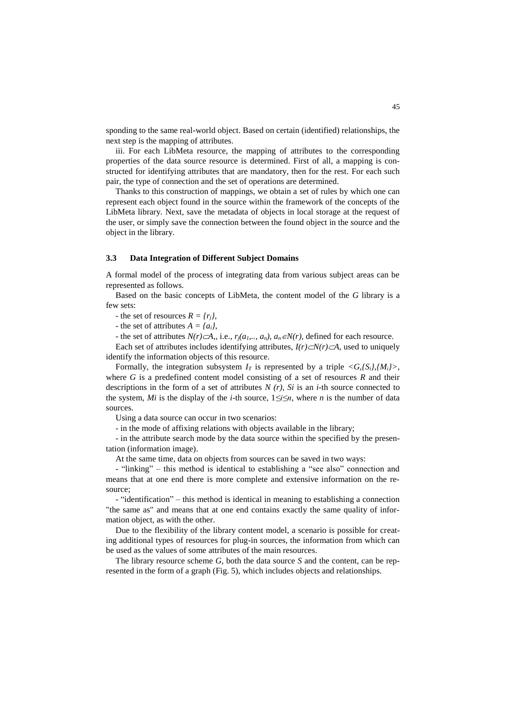sponding to the same real-world object. Based on certain (identified) relationships, the next step is the mapping of attributes.

iii. For each LibMeta resource, the mapping of attributes to the corresponding properties of the data source resource is determined. First of all, a mapping is constructed for identifying attributes that are mandatory, then for the rest. For each such pair, the type of connection and the set of operations are determined.

Thanks to this construction of mappings, we obtain a set of rules by which one can represent each object found in the source within the framework of the concepts of the LibMeta library. Next, save the metadata of objects in local storage at the request of the user, or simply save the connection between the found object in the source and the object in the library.

#### **3.3 Data Integration of Different Subject Domains**

A formal model of the process of integrating data from various subject areas can be represented as follows.

Based on the basic concepts of LibMeta, the content model of the *G* library is a few sets:

- the set of resources  $R = \{r_j\}$ ,

- the set of attributes  $A = \{a_i\}$ ,

- the set of attributes  $N(r) \subset A$ ,, i.e.,  $r_j(a_1, \ldots, a_n)$ ,  $a_n \in N(r)$ , defined for each resource.

Each set of attributes includes identifying attributes,  $I(r) \subset N(r) \subset A$ , used to uniquely identify the information objects of this resource.

Formally, the integration subsystem  $I_T$  is represented by a triple  $\langle G, S_i \rangle, \langle M_i \rangle$ , where *G* is a predefined content model consisting of a set of resources *R* and their descriptions in the form of a set of attributes *N (r), Si* is an *i*-th source connected to the system, *Mi* is the display of the *i*-th source,  $1 \le i \le n$ , where *n* is the number of data sources.

Using a data source can occur in two scenarios:

- in the mode of affixing relations with objects available in the library;

- in the attribute search mode by the data source within the specified by the presentation (information image).

At the same time, data on objects from sources can be saved in two ways:

- "linking" – this method is identical to establishing a "see also" connection and means that at one end there is more complete and extensive information on the resource;

- "identification" – this method is identical in meaning to establishing a connection "the same as" and means that at one end contains exactly the same quality of information object, as with the other.

Due to the flexibility of the library content model, a scenario is possible for creating additional types of resources for plug-in sources, the information from which can be used as the values of some attributes of the main resources.

The library resource scheme *G*, both the data source *S* and the content, can be represented in the form of a graph (Fig. 5), which includes objects and relationships.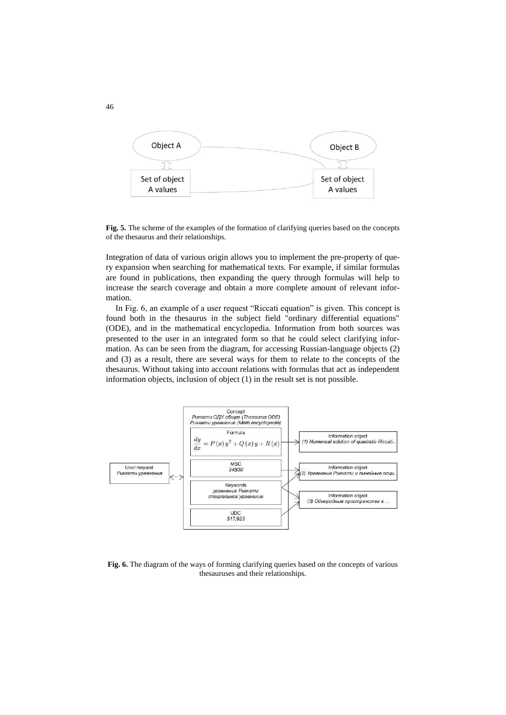![](_page_8_Figure_0.jpeg)

**Fig. 5.** The scheme of the examples of the formation of clarifying queries based on the concepts of the thesaurus and their relationships.

Integration of data of various origin allows you to implement the pre-property of query expansion when searching for mathematical texts. For example, if similar formulas are found in publications, then expanding the query through formulas will help to increase the search coverage and obtain a more complete amount of relevant information.

In Fig. 6, an example of a user request "Riccati equation" is given. This concept is found both in the thesaurus in the subject field "ordinary differential equations" (ODE), and in the mathematical encyclopedia. Information from both sources was presented to the user in an integrated form so that he could select clarifying information. As can be seen from the diagram, for accessing Russian-language objects (2) and (3) as a result, there are several ways for them to relate to the concepts of the thesaurus. Without taking into account relations with formulas that act as independent information objects, inclusion of object (1) in the result set is not possible.

![](_page_8_Figure_4.jpeg)

Fig. 6. The diagram of the ways of forming clarifying queries based on the concepts of various thesauruses and their relationships.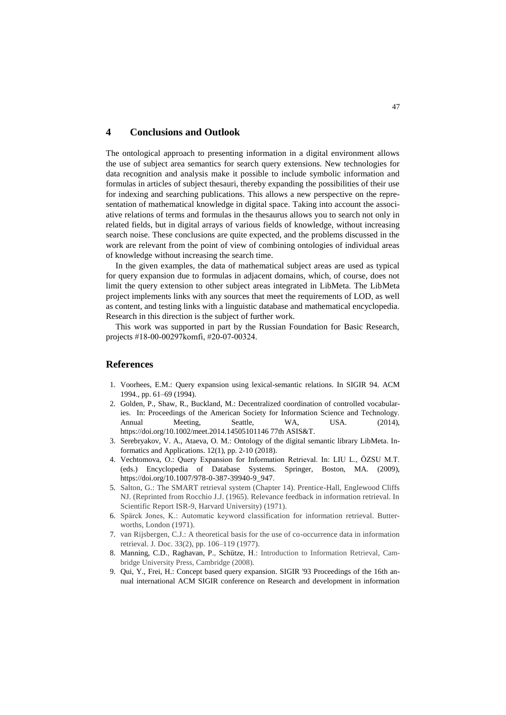# **4 Conclusions and Outlook**

The ontological approach to presenting information in a digital environment allows the use of subject area semantics for search query extensions. New technologies for data recognition and analysis make it possible to include symbolic information and formulas in articles of subject thesauri, thereby expanding the possibilities of their use for indexing and searching publications. This allows a new perspective on the representation of mathematical knowledge in digital space. Taking into account the associative relations of terms and formulas in the thesaurus allows you to search not only in related fields, but in digital arrays of various fields of knowledge, without increasing search noise. These conclusions are quite expected, and the problems discussed in the work are relevant from the point of view of combining ontologies of individual areas of knowledge without increasing the search time.

In the given examples, the data of mathematical subject areas are used as typical for query expansion due to formulas in adjacent domains, which, of course, does not limit the query extension to other subject areas integrated in LibMeta. The LibMeta project implements links with any sources that meet the requirements of LOD, as well as content, and testing links with a linguistic database and mathematical encyclopedia. Research in this direction is the subject of further work.

This work was supported in part by the Russian Foundation for Basic Research, projects #18-00-00297komfi, #20-07-00324.

### **References**

- 1. Voorhees, E.M.: Query expansion using lexical-semantic relations. In SIGIR 94. ACM 1994., pp. 61–69 (1994).
- 2. Golden, P., Shaw, R., Buckland, M.: Decentralized coordination of controlled vocabularies. In: Proceedings of the American Society for Information Science and Technology. Annual Meeting, Seattle, WA, USA. (2014), https://doi.org/10.1002/meet.2014.14505101146 77th ASIS&T.
- 3. Serebryakov, V. A., Ataeva, O. M.: Ontology of the digital semantic library LibMeta. Informatics and Applications. 12(1), pp. 2-10 (2018).
- 4. Vechtomova, O.: Query Expansion for Information Retrieval. In: LIU L., ÖZSU M.T. (eds.) Encyclopedia of Database Systems. Springer, Boston, MA. (2009), [https://doi.org/10.1007/978-0-387-39940-9\\_947.](https://doi.org/10.1007/978-0-387-39940-9_947)
- 5. Salton, G.: The SMART retrieval system (Chapter 14). Prentice-Hall, Englewood Cliffs NJ. (Reprinted from Rocchio J.J. (1965). Relevance feedback in information retrieval. In Scientific Report ISR-9, Harvard University) (1971).
- 6. Spärck Jones, K.: Automatic keyword classification for information retrieval. Butterworths, London (1971).
- 7. van Rijsbergen, C.J.: A theoretical basis for the use of co-occurrence data in information retrieval. J. Doc. 33(2), pp. 106–119 (1977).
- 8. Manning, C.D., Raghavan, P., Schütze, H.: Introduction to Information Retrieval, Cambridge University Press, Cambridge (2008).
- 9. Qui, Y., Frei, H.: Concept based query expansion. SIGIR '93 Proceedings of the 16th annual international ACM SIGIR conference on Research and development in information